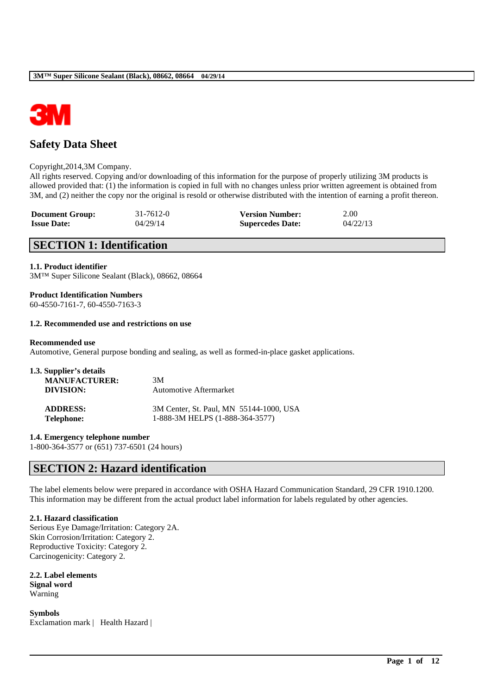

# **Safety Data Sheet**

### Copyright,2014,3M Company.

All rights reserved. Copying and/or downloading of this information for the purpose of properly utilizing 3M products is allowed provided that: (1) the information is copied in full with no changes unless prior written agreement is obtained from 3M, and (2) neither the copy nor the original is resold or otherwise distributed with the intention of earning a profit thereon.

| <b>Document Group:</b> | 31-7612-0 | <b>Version Number:</b>  | 2.00     |
|------------------------|-----------|-------------------------|----------|
| <b>Issue Date:</b>     | 04/29/14  | <b>Supercedes Date:</b> | 04/22/13 |

## **SECTION 1: Identification**

### **1.1. Product identifier**

3M™ Super Silicone Sealant (Black), 08662, 08664

### **Product Identification Numbers**

60-4550-7161-7, 60-4550-7163-3

### **1.2. Recommended use and restrictions on use**

### **Recommended use**

Automotive, General purpose bonding and sealing, as well as formed-in-place gasket applications.

| 1.3. Supplier's details |                                         |
|-------------------------|-----------------------------------------|
| <b>MANUFACTURER:</b>    | 3M                                      |
| DIVISION:               | <b>Automotive Aftermarket</b>           |
| <b>ADDRESS:</b>         | 3M Center, St. Paul, MN 55144-1000, USA |
| <b>Telephone:</b>       | 1-888-3M HELPS (1-888-364-3577)         |

**1.4. Emergency telephone number**

1-800-364-3577 or (651) 737-6501 (24 hours)

## **SECTION 2: Hazard identification**

The label elements below were prepared in accordance with OSHA Hazard Communication Standard, 29 CFR 1910.1200. This information may be different from the actual product label information for labels regulated by other agencies.

\_\_\_\_\_\_\_\_\_\_\_\_\_\_\_\_\_\_\_\_\_\_\_\_\_\_\_\_\_\_\_\_\_\_\_\_\_\_\_\_\_\_\_\_\_\_\_\_\_\_\_\_\_\_\_\_\_\_\_\_\_\_\_\_\_\_\_\_\_\_\_\_\_\_\_\_\_\_\_\_\_\_\_\_\_\_\_\_\_\_

### **2.1. Hazard classification**

Serious Eye Damage/Irritation: Category 2A. Skin Corrosion/Irritation: Category 2. Reproductive Toxicity: Category 2. Carcinogenicity: Category 2.

**2.2. Label elements Signal word** Warning

**Symbols** Exclamation mark | Health Hazard |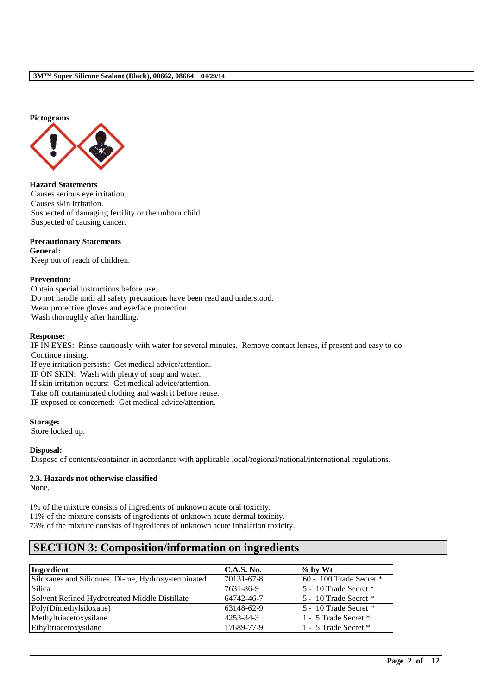#### **Pictograms**



#### **Hazard Statements**

Causes serious eye irritation. Causes skin irritation. Suspected of damaging fertility or the unborn child. Suspected of causing cancer.

### **Precautionary Statements**

**General:** Keep out of reach of children.

### **Prevention:**

Obtain special instructions before use. Do not handle until all safety precautions have been read and understood. Wear protective gloves and eye/face protection. Wash thoroughly after handling.

#### **Response:**

IF IN EYES: Rinse cautiously with water for several minutes. Remove contact lenses, if present and easy to do. Continue rinsing.

If eye irritation persists: Get medical advice/attention. IF ON SKIN: Wash with plenty of soap and water. If skin irritation occurs: Get medical advice/attention. Take off contaminated clothing and wash it before reuse. IF exposed or concerned: Get medical advice/attention.

**Storage:** Store locked up.

**Disposal:**

Dispose of contents/container in accordance with applicable local/regional/national/international regulations.

## **2.3. Hazards not otherwise classified**

None.

1% of the mixture consists of ingredients of unknown acute oral toxicity. 11% of the mixture consists of ingredients of unknown acute dermal toxicity. 73% of the mixture consists of ingredients of unknown acute inhalation toxicity.

# **SECTION 3: Composition/information on ingredients**

| Ingredient                                         | <b>C.A.S. No.</b> | $\%$ by Wt                  |
|----------------------------------------------------|-------------------|-----------------------------|
| Siloxanes and Silicones, Di-me, Hydroxy-terminated | 70131-67-8        | $60 - 100$ Trade Secret $*$ |
| Silica                                             | 7631-86-9         | 5 - 10 Trade Secret *       |
| Solvent Refined Hydrotreated Middle Distillate     | 64742-46-7        | 5 - 10 Trade Secret *       |
| Poly(Dimethylsiloxane)                             | 63148-62-9        | 5 - 10 Trade Secret *       |
| Methyltriacetoxysilane                             | 4253-34-3         | 1 - 5 Trade Secret *        |
| Ethyltriacetoxysilane                              | 17689-77-9        | 1 - 5 Trade Secret *        |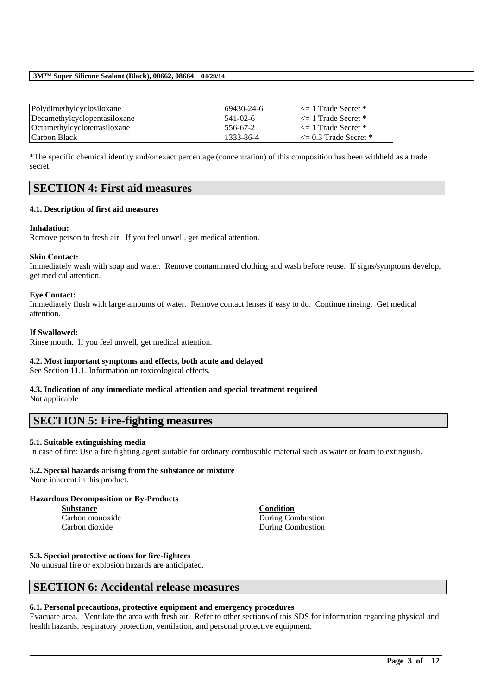| Polydimethylcyclosiloxane    | 69430-24-6      | $\leq$ 1 Trade Secret *   |
|------------------------------|-----------------|---------------------------|
| Decamethylcyclopentasiloxane | $1541 - 02 - 6$ | $\leq 1$ Trade Secret *   |
| Octamethylcyclotetrasiloxane | $1556 - 67 - 2$ | $\leq$ 1 Trade Secret *   |
| l Carbon Black               | 1333-86-4       | $\leq$ 0.3 Trade Secret * |

\*The specific chemical identity and/or exact percentage (concentration) of this composition has been withheld as a trade secret.

## **SECTION 4: First aid measures**

### **4.1. Description of first aid measures**

### **Inhalation:**

Remove person to fresh air. If you feel unwell, get medical attention.

### **Skin Contact:**

Immediately wash with soap and water. Remove contaminated clothing and wash before reuse. If signs/symptoms develop, get medical attention.

### **Eye Contact:**

Immediately flush with large amounts of water. Remove contact lenses if easy to do. Continue rinsing. Get medical attention.

### **If Swallowed:**

Rinse mouth. If you feel unwell, get medical attention.

### **4.2. Most important symptoms and effects, both acute and delayed**

See Section 11.1. Information on toxicological effects.

# **4.3. Indication of any immediate medical attention and special treatment required**

Not applicable

## **SECTION 5: Fire-fighting measures**

### **5.1. Suitable extinguishing media**

In case of fire: Use a fire fighting agent suitable for ordinary combustible material such as water or foam to extinguish.

## **5.2. Special hazards arising from the substance or mixture**

None inherent in this product.

### **Hazardous Decomposition or By-Products**

**Substance Condition**

Carbon monoxide During Combustion Carbon dioxide During Combustion

### **5.3. Special protective actions for fire-fighters**

No unusual fire or explosion hazards are anticipated.

## **SECTION 6: Accidental release measures**

### **6.1. Personal precautions, protective equipment and emergency procedures**

Evacuate area. Ventilate the area with fresh air. Refer to other sections of this SDS for information regarding physical and health hazards, respiratory protection, ventilation, and personal protective equipment.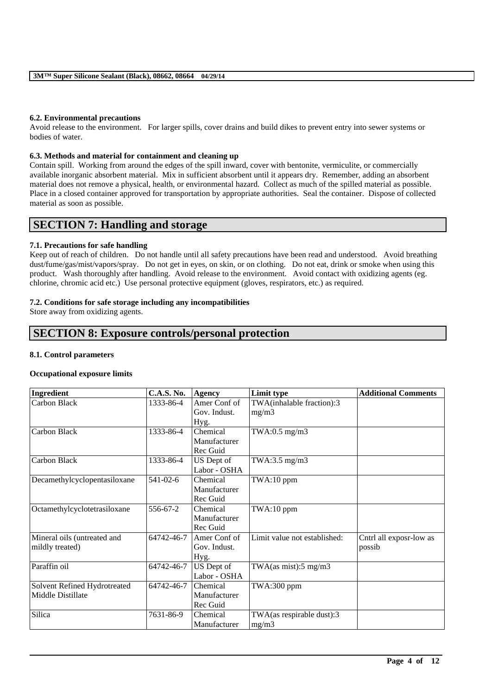### **6.2. Environmental precautions**

Avoid release to the environment. For larger spills, cover drains and build dikes to prevent entry into sewer systems or bodies of water.

### **6.3. Methods and material for containment and cleaning up**

Contain spill. Working from around the edges of the spill inward, cover with bentonite, vermiculite, or commercially available inorganic absorbent material. Mix in sufficient absorbent until it appears dry. Remember, adding an absorbent material does not remove a physical, health, or environmental hazard. Collect as much of the spilled material as possible. Place in a closed container approved for transportation by appropriate authorities. Seal the container. Dispose of collected material as soon as possible.

## **SECTION 7: Handling and storage**

### **7.1. Precautions for safe handling**

Keep out of reach of children. Do not handle until all safety precautions have been read and understood. Avoid breathing dust/fume/gas/mist/vapors/spray. Do not get in eyes, on skin, or on clothing. Do not eat, drink or smoke when using this product. Wash thoroughly after handling. Avoid release to the environment. Avoid contact with oxidizing agents (eg. chlorine, chromic acid etc.) Use personal protective equipment (gloves, respirators, etc.) as required.

### **7.2. Conditions for safe storage including any incompatibilities**

Store away from oxidizing agents.

## **SECTION 8: Exposure controls/personal protection**

### **8.1. Control parameters**

### **Occupational exposure limits**

| Ingredient                   | <b>C.A.S. No.</b> | <b>Agency</b> | Limit type                       | <b>Additional Comments</b> |
|------------------------------|-------------------|---------------|----------------------------------|----------------------------|
| Carbon Black                 | 1333-86-4         | Amer Conf of  | TWA(inhalable fraction):3        |                            |
|                              |                   | Gov. Indust.  | mg/m3                            |                            |
|                              |                   | Hyg.          |                                  |                            |
| Carbon Black                 | 1333-86-4         | Chemical      | TWA:0.5 $mg/m3$                  |                            |
|                              |                   | Manufacturer  |                                  |                            |
|                              |                   | Rec Guid      |                                  |                            |
| Carbon Black                 | 1333-86-4         | US Dept of    | TWA:3.5 $mg/m3$                  |                            |
|                              |                   | Labor - OSHA  |                                  |                            |
| Decamethylcyclopentasiloxane | $541 - 02 - 6$    | Chemical      | TWA:10 ppm                       |                            |
|                              |                   | Manufacturer  |                                  |                            |
|                              |                   | Rec Guid      |                                  |                            |
| Octamethylcyclotetrasiloxane | 556-67-2          | Chemical      | TWA:10 ppm                       |                            |
|                              |                   | Manufacturer  |                                  |                            |
|                              |                   | Rec Guid      |                                  |                            |
| Mineral oils (untreated and  | 64742-46-7        | Amer Conf of  | Limit value not established:     | Cntrl all exposr-low as    |
| mildly treated)              |                   | Gov. Indust.  |                                  | possib                     |
|                              |                   | Hyg.          |                                  |                            |
| Paraffin oil                 | 64742-46-7        | US Dept of    | TWA $(as \text{ mist}):$ 5 mg/m3 |                            |
|                              |                   | Labor - OSHA  |                                  |                            |
| Solvent Refined Hydrotreated | 64742-46-7        | Chemical      | TWA:300 ppm                      |                            |
| Middle Distillate            |                   | Manufacturer  |                                  |                            |
|                              |                   | Rec Guid      |                                  |                            |
| Silica                       | 7631-86-9         | Chemical      | TWA(as respirable dust):3        |                            |
|                              |                   | Manufacturer  | mg/m3                            |                            |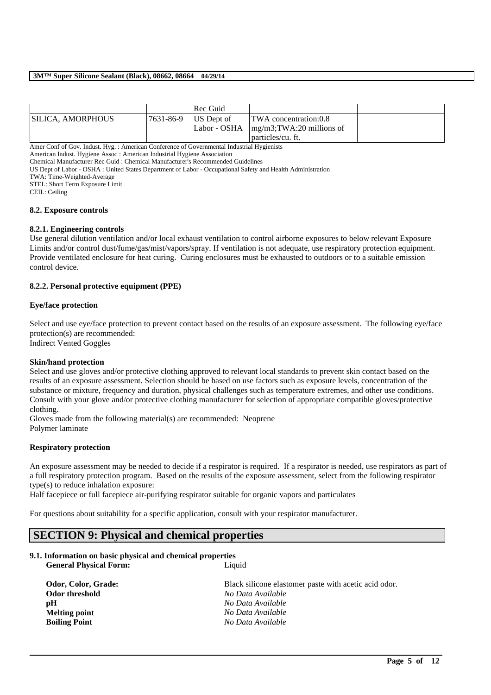|                    |           | Rec Guid   |                                                                                                   |  |
|--------------------|-----------|------------|---------------------------------------------------------------------------------------------------|--|
| ISILICA. AMORPHOUS | 7631-86-9 | US Dept of | <b>TWA</b> concentration:0.8<br>Labor - OSHA $\{mg/m3;TWA:20\}\$ millions of<br>particles/cu. ft. |  |

Amer Conf of Gov. Indust. Hyg. : American Conference of Governmental Industrial Hygienists

American Indust. Hygiene Assoc : American Industrial Hygiene Association

Chemical Manufacturer Rec Guid : Chemical Manufacturer's Recommended Guidelines US Dept of Labor - OSHA : United States Department of Labor - Occupational Safety and Health Administration

TWA: Time-Weighted-Average

STEL: Short Term Exposure Limit

CEIL: Ceiling

### **8.2. Exposure controls**

### **8.2.1. Engineering controls**

Use general dilution ventilation and/or local exhaust ventilation to control airborne exposures to below relevant Exposure Limits and/or control dust/fume/gas/mist/vapors/spray. If ventilation is not adequate, use respiratory protection equipment. Provide ventilated enclosure for heat curing. Curing enclosures must be exhausted to outdoors or to a suitable emission control device.

### **8.2.2. Personal protective equipment (PPE)**

### **Eye/face protection**

Select and use eye/face protection to prevent contact based on the results of an exposure assessment. The following eye/face protection(s) are recommended:

Indirect Vented Goggles

### **Skin/hand protection**

Select and use gloves and/or protective clothing approved to relevant local standards to prevent skin contact based on the results of an exposure assessment. Selection should be based on use factors such as exposure levels, concentration of the substance or mixture, frequency and duration, physical challenges such as temperature extremes, and other use conditions. Consult with your glove and/or protective clothing manufacturer for selection of appropriate compatible gloves/protective clothing.

Gloves made from the following material(s) are recommended: Neoprene Polymer laminate

### **Respiratory protection**

An exposure assessment may be needed to decide if a respirator is required. If a respirator is needed, use respirators as part of a full respiratory protection program. Based on the results of the exposure assessment, select from the following respirator type(s) to reduce inhalation exposure:

Half facepiece or full facepiece air-purifying respirator suitable for organic vapors and particulates

For questions about suitability for a specific application, consult with your respirator manufacturer.

## **SECTION 9: Physical and chemical properties**

### **9.1. Information on basic physical and chemical properties General Physical Form:** Liquid

**Odor, Color, Grade: Black silicone elastomer paste with acetic acid odor. Odor threshold** *No Data Available* **pH** *No Data Available* **Melting point** *No Data Available* **Boiling Point** *No Data Available*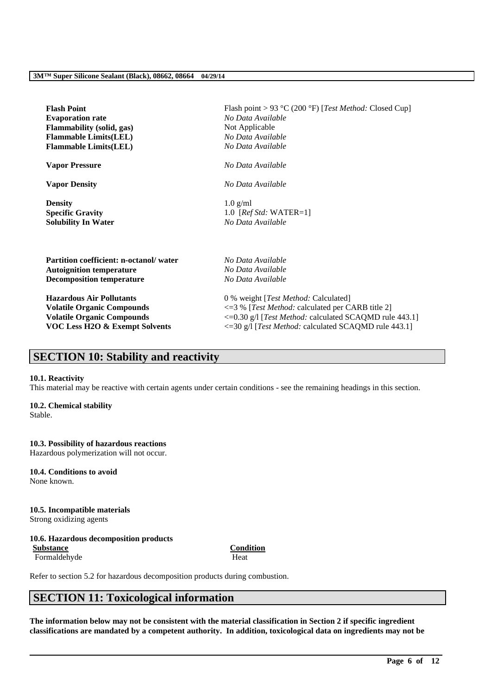| <b>Flash Point</b>                        | Flash point > 93 °C (200 °F) [Test Method: Closed Cup]  |
|-------------------------------------------|---------------------------------------------------------|
| <b>Evaporation rate</b>                   | No Data Available                                       |
| <b>Flammability (solid, gas)</b>          | Not Applicable                                          |
| <b>Flammable Limits(LEL)</b>              | No Data Available                                       |
| <b>Flammable Limits(LEL)</b>              | No Data Available                                       |
| <b>Vapor Pressure</b>                     | No Data Available                                       |
| <b>Vapor Density</b>                      | No Data Available                                       |
| <b>Density</b>                            | $1.0$ g/ml                                              |
| <b>Specific Gravity</b>                   | 1.0 [ $RefStd: WATER=1$ ]                               |
| <b>Solubility In Water</b>                | No Data Available                                       |
| Partition coefficient: n-octanol/water    | No Data Available                                       |
| <b>Autoignition temperature</b>           | No Data Available                                       |
| <b>Decomposition temperature</b>          | No Data Available                                       |
| <b>Hazardous Air Pollutants</b>           | 0 % weight [Test Method: Calculated]                    |
| <b>Volatile Organic Compounds</b>         | $\leq$ 3% [Test Method: calculated per CARB title 2]    |
| <b>Volatile Organic Compounds</b>         | <= 0.30 g/l [Test Method: calculated SCAQMD rule 443.1] |
| <b>VOC Less H2O &amp; Exempt Solvents</b> | <= 30 g/l [Test Method: calculated SCAQMD rule 443.1]   |

# **SECTION 10: Stability and reactivity**

### **10.1. Reactivity**

This material may be reactive with certain agents under certain conditions - see the remaining headings in this section.

### **10.2. Chemical stability**

Stable.

### **10.3. Possibility of hazardous reactions**

Hazardous polymerization will not occur.

#### **10.4. Conditions to avoid** None known.

**10.5. Incompatible materials** Strong oxidizing agents

## **10.6. Hazardous decomposition products Substance Condition**

Formaldehyde Heat

Refer to section 5.2 for hazardous decomposition products during combustion.

# **SECTION 11: Toxicological information**

**The information below may not be consistent with the material classification in Section 2 if specific ingredient classifications are mandated by a competent authority. In addition, toxicological data on ingredients may not be**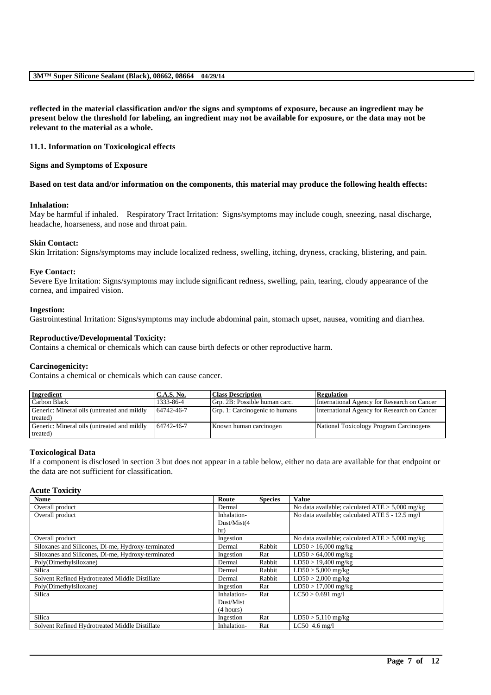**reflected in the material classification and/or the signs and symptoms of exposure, because an ingredient may be present below the threshold for labeling, an ingredient may not be available for exposure, or the data may not be relevant to the material as a whole.**

### **11.1. Information on Toxicological effects**

### **Signs and Symptoms of Exposure**

### **Based on test data and/or information on the components, this material may produce the following health effects:**

### **Inhalation:**

May be harmful if inhaled. Respiratory Tract Irritation: Signs/symptoms may include cough, sneezing, nasal discharge, headache, hoarseness, and nose and throat pain.

### **Skin Contact:**

Skin Irritation: Signs/symptoms may include localized redness, swelling, itching, dryness, cracking, blistering, and pain.

### **Eye Contact:**

Severe Eye Irritation: Signs/symptoms may include significant redness, swelling, pain, tearing, cloudy appearance of the cornea, and impaired vision.

### **Ingestion:**

Gastrointestinal Irritation: Signs/symptoms may include abdominal pain, stomach upset, nausea, vomiting and diarrhea.

### **Reproductive/Developmental Toxicity:**

Contains a chemical or chemicals which can cause birth defects or other reproductive harm.

### **Carcinogenicity:**

Contains a chemical or chemicals which can cause cancer.

| <b>Ingredient</b>                           | <b>C.A.S. No.</b> | <b>Class Description</b>       | <b>Regulation</b>                           |
|---------------------------------------------|-------------------|--------------------------------|---------------------------------------------|
| Carbon Black                                | 1333-86-4         | Grp. 2B: Possible human carc.  | International Agency for Research on Cancer |
| Generic: Mineral oils (untreated and mildly | 64742-46-7        | Grp. 1: Carcinogenic to humans | International Agency for Research on Cancer |
| treated)                                    |                   |                                |                                             |
| Generic: Mineral oils (untreated and mildly | 64742-46-7        | Known human carcinogen         | National Toxicology Program Carcinogens     |
| treated)                                    |                   |                                |                                             |

### **Toxicological Data**

If a component is disclosed in section 3 but does not appear in a table below, either no data are available for that endpoint or the data are not sufficient for classification.

### **Acute Toxicity**

| <b>Name</b>                                        | Route        | <b>Species</b> | <b>Value</b>                                      |
|----------------------------------------------------|--------------|----------------|---------------------------------------------------|
| Overall product                                    | Dermal       |                | No data available; calculated $ATE > 5,000$ mg/kg |
| Overall product                                    | Inhalation-  |                | No data available; calculated ATE 5 - 12.5 mg/l   |
|                                                    | Dust/Mist(4) |                |                                                   |
|                                                    | hr)          |                |                                                   |
| Overall product                                    | Ingestion    |                | No data available; calculated $ATE > 5,000$ mg/kg |
| Siloxanes and Silicones, Di-me, Hydroxy-terminated | Dermal       | Rabbit         | $LD50 > 16,000$ mg/kg                             |
| Siloxanes and Silicones, Di-me, Hydroxy-terminated | Ingestion    | Rat            | $LD50 > 64,000$ mg/kg                             |
| Poly(Dimethylsiloxane)                             | Dermal       | Rabbit         | $LD50 > 19,400$ mg/kg                             |
| Silica                                             | Dermal       | Rabbit         | $LD50 > 5,000$ mg/kg                              |
| Solvent Refined Hydrotreated Middle Distillate     | Dermal       | Rabbit         | $LD50 > 2,000$ mg/kg                              |
| Poly(Dimethylsiloxane)                             | Ingestion    | Rat            | $LD50 > 17,000$ mg/kg                             |
| Silica                                             | Inhalation-  | Rat            | $LC50 > 0.691$ mg/l                               |
|                                                    | Dust/Mist    |                |                                                   |
|                                                    | (4 hours)    |                |                                                   |
| Silica                                             | Ingestion    | Rat            | $LD50 > 5,110$ mg/kg                              |
| Solvent Refined Hydrotreated Middle Distillate     | Inhalation-  | Rat            | LC50 $4.6$ mg/l                                   |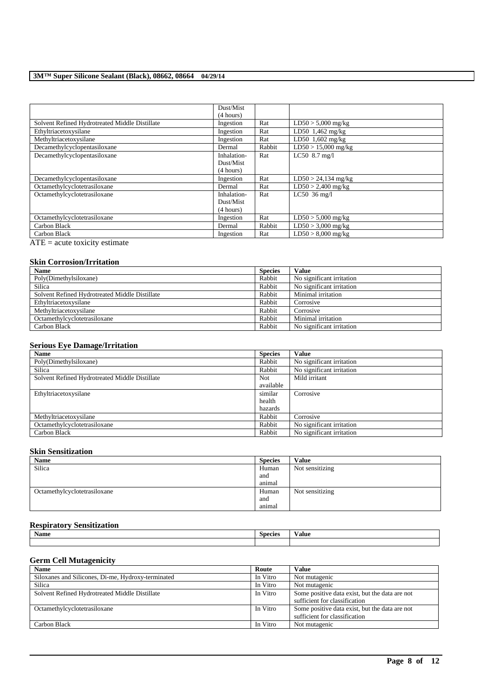|                                                | Dust/Mist   |        |                        |
|------------------------------------------------|-------------|--------|------------------------|
|                                                | (4 hours)   |        |                        |
| Solvent Refined Hydrotreated Middle Distillate | Ingestion   | Rat    | $LD50 > 5,000$ mg/kg   |
| Ethyltriacetoxysilane                          | Ingestion   | Rat    | LD50 1,462 mg/kg       |
| Methyltriacetoxysilane                         | Ingestion   | Rat    | $LD50$ 1,602 mg/kg     |
| Decamethylcyclopentasiloxane                   | Dermal      | Rabbit | $LD50 > 15,000$ mg/kg  |
| Decamethylcyclopentasiloxane                   | Inhalation- | Rat    | LC50 8.7 mg/l          |
|                                                | Dust/Mist   |        |                        |
|                                                | (4 hours)   |        |                        |
| Decamethylcyclopentasiloxane                   | Ingestion   | Rat    | $LD50 > 24,134$ mg/kg  |
| Octamethylcyclotetrasiloxane                   | Dermal      | Rat    | $LD50 > 2,400$ mg/kg   |
| Octamethylcyclotetrasiloxane                   | Inhalation- | Rat    | LC50 $36 \text{ mg/l}$ |
|                                                | Dust/Mist   |        |                        |
|                                                | (4 hours)   |        |                        |
| Octamethylcyclotetrasiloxane                   | Ingestion   | Rat    | $LD50 > 5,000$ mg/kg   |
| Carbon Black                                   | Dermal      | Rabbit | $LD50 > 3,000$ mg/kg   |
| Carbon Black                                   | Ingestion   | Rat    | $LD50 > 8,000$ mg/kg   |

ATE = acute toxicity estimate

## **Skin Corrosion/Irritation**

| <b>Name</b>                                    | <b>Species</b> | <b>Value</b>              |
|------------------------------------------------|----------------|---------------------------|
| Poly(Dimethylsiloxane)                         | Rabbit         | No significant irritation |
| Silica                                         | Rabbit         | No significant irritation |
| Solvent Refined Hydrotreated Middle Distillate | Rabbit         | Minimal irritation        |
| Ethyltriacetoxysilane                          | Rabbit         | Corrosive                 |
| Methyltriacetoxysilane                         | Rabbit         | Corrosive                 |
| Octamethylcyclotetrasiloxane                   | Rabbit         | Minimal irritation        |
| Carbon Black                                   | Rabbit         | No significant irritation |

### **Serious Eye Damage/Irritation**

| <b>Name</b>                                    | <b>Species</b> | <b>Value</b>              |
|------------------------------------------------|----------------|---------------------------|
| Poly(Dimethylsiloxane)                         | Rabbit         | No significant irritation |
| Silica                                         | Rabbit         | No significant irritation |
| Solvent Refined Hydrotreated Middle Distillate | <b>Not</b>     | Mild irritant             |
|                                                | available      |                           |
| Ethyltriacetoxysilane                          | similar        | Corrosive                 |
|                                                | health         |                           |
|                                                | hazards        |                           |
| Methyltriacetoxysilane                         | Rabbit         | Corrosive                 |
| Octamethylcyclotetrasiloxane                   | Rabbit         | No significant irritation |
| Carbon Black                                   | Rabbit         | No significant irritation |

### **Skin Sensitization**

| Name                         | <b>Species</b> | Value           |
|------------------------------|----------------|-----------------|
| Silica                       | Human          | Not sensitizing |
|                              | and            |                 |
|                              | animal         |                 |
| Octamethylcyclotetrasiloxane | Human          | Not sensitizing |
|                              | and            |                 |
|                              | animal         |                 |

## **Respiratory Sensitization**

| <b>Name</b> | $\sim$<br>Species | $-1$<br>√alue |
|-------------|-------------------|---------------|
|             |                   |               |

## **Germ Cell Mutagenicity**

| <b>Name</b>                                        | Route    | Value                                          |
|----------------------------------------------------|----------|------------------------------------------------|
| Siloxanes and Silicones, Di-me, Hydroxy-terminated | In Vitro | Not mutagenic                                  |
| Silica                                             | In Vitro | Not mutagenic                                  |
| Solvent Refined Hydrotreated Middle Distillate     | In Vitro | Some positive data exist, but the data are not |
|                                                    |          | sufficient for classification                  |
| Octamethylcyclotetrasiloxane                       | In Vitro | Some positive data exist, but the data are not |
|                                                    |          | sufficient for classification                  |
| Carbon Black                                       | In Vitro | Not mutagenic                                  |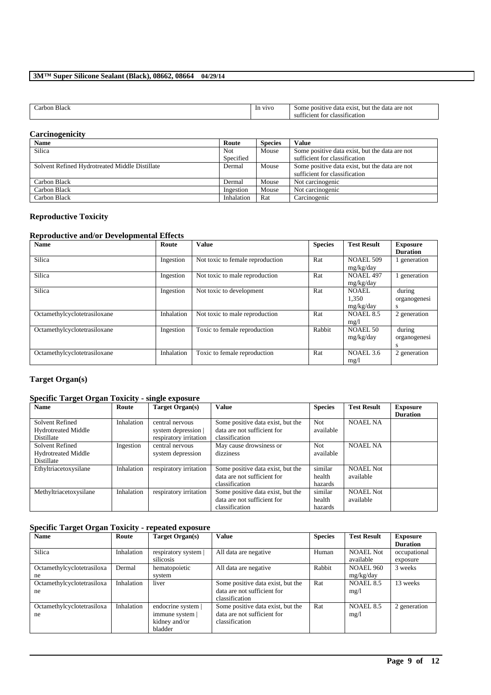| $\sim$<br>larbon Black | V <sub>1</sub> V <sub>O</sub><br><sub>In</sub> | $\alpha$ exist.<br>: positive<br>ı are not<br>the<br>but<br>Some<br>data<br>data |
|------------------------|------------------------------------------------|----------------------------------------------------------------------------------|
|                        |                                                | sufficient for<br>classification                                                 |

### **Carcinogenicity**

| <b>Name</b>                                    | Route      | <b>Species</b> | Value                                          |
|------------------------------------------------|------------|----------------|------------------------------------------------|
| Silica                                         | Not        | Mouse          | Some positive data exist, but the data are not |
|                                                | Specified  |                | sufficient for classification                  |
| Solvent Refined Hydrotreated Middle Distillate | Dermal     | Mouse          | Some positive data exist, but the data are not |
|                                                |            |                | sufficient for classification                  |
| Carbon Black                                   | Dermal     | Mouse          | Not carcinogenic                               |
| Carbon Black                                   | Ingestion  | Mouse          | Not carcinogenic                               |
| Carbon Black                                   | Inhalation | Rat            | Carcinogenic                                   |

### **Reproductive Toxicity**

### **Reproductive and/or Developmental Effects**

| <b>Name</b>                  | Route      | <b>Value</b>                     | <b>Species</b> | <b>Test Result</b> | <b>Exposure</b> |
|------------------------------|------------|----------------------------------|----------------|--------------------|-----------------|
|                              |            |                                  |                |                    | <b>Duration</b> |
| Silica                       | Ingestion  | Not toxic to female reproduction | Rat            | <b>NOAEL 509</b>   | generation      |
|                              |            |                                  |                | mg/kg/day          |                 |
| Silica                       | Ingestion  | Not toxic to male reproduction   | Rat            | <b>NOAEL 497</b>   | 1 generation    |
|                              |            |                                  |                | mg/kg/day          |                 |
| Silica                       | Ingestion  | Not toxic to development         | Rat            | NOAEL.             | during          |
|                              |            |                                  |                | 1.350              | organogenesi    |
|                              |            |                                  |                | mg/kg/day          | s               |
| Octamethylcyclotetrasiloxane | Inhalation | Not toxic to male reproduction   | Rat            | <b>NOAEL 8.5</b>   | 2 generation    |
|                              |            |                                  |                | mg/1               |                 |
| Octamethylcyclotetrasiloxane | Ingestion  | Toxic to female reproduction     | Rabbit         | <b>NOAEL 50</b>    | during          |
|                              |            |                                  |                | mg/kg/day          | organogenesi    |
|                              |            |                                  |                |                    | s               |
| Octamethylcyclotetrasiloxane | Inhalation | Toxic to female reproduction     | Rat            | NOAEL 3.6          | 2 generation    |
|                              |            |                                  |                | mg/l               |                 |

### **Target Organ(s)**

## **Specific Target Organ Toxicity - single exposure**

| <b>Name</b>                                                 | Route      | Target Organ(s)                                                  | <b>Value</b>                                                                       | <b>Species</b>               | <b>Test Result</b>     | Exposure<br><b>Duration</b> |
|-------------------------------------------------------------|------------|------------------------------------------------------------------|------------------------------------------------------------------------------------|------------------------------|------------------------|-----------------------------|
| Solvent Refined<br><b>Hydrotreated Middle</b><br>Distillate | Inhalation | central nervous<br>system depression  <br>respiratory irritation | Some positive data exist, but the<br>data are not sufficient for<br>classification | <b>Not</b><br>available      | <b>NOAEL NA</b>        |                             |
| Solvent Refined<br><b>Hydrotreated Middle</b><br>Distillate | Ingestion  | central nervous<br>system depression                             | May cause drowsiness or<br>dizziness                                               | Not.<br>available            | <b>NOAEL NA</b>        |                             |
| Ethyltriacetoxysilane                                       | Inhalation | respiratory irritation                                           | Some positive data exist, but the<br>data are not sufficient for<br>classification | similar<br>health<br>hazards | NOAEL Not<br>available |                             |
| Methyltriacetoxysilane                                      | Inhalation | respiratory irritation                                           | Some positive data exist, but the<br>data are not sufficient for<br>classification | similar<br>health<br>hazards | NOAEL Not<br>available |                             |

## **Specific Target Organ Toxicity - repeated exposure**

| <b>Name</b>                | Route      | Target Organ(s)    | <b>Value</b>                      | <b>Species</b> | <b>Test Result</b> | <b>Exposure</b> |
|----------------------------|------------|--------------------|-----------------------------------|----------------|--------------------|-----------------|
|                            |            |                    |                                   |                |                    | <b>Duration</b> |
| Silica                     | Inhalation | respiratory system | All data are negative             | Human          | <b>NOAEL Not</b>   | occupational    |
|                            |            | silicosis          |                                   |                | available          | exposure        |
| Octamethylcyclotetrasiloxa | Dermal     | hematopoietic      | All data are negative             | Rabbit         | <b>NOAEL 960</b>   | 3 weeks         |
| ne                         |            | system             |                                   |                | mg/kg/day          |                 |
| Octamethylcyclotetrasiloxa | Inhalation | liver              | Some positive data exist, but the | Rat            | <b>NOAEL 8.5</b>   | 13 weeks        |
| ne                         |            |                    | data are not sufficient for       |                | mg/1               |                 |
|                            |            |                    | classification                    |                |                    |                 |
| Octamethylcyclotetrasiloxa | Inhalation | endocrine system   | Some positive data exist, but the | Rat            | NOAEL 8.5          | 2 generation    |
| ne                         |            | immune system      | data are not sufficient for       |                | mg/1               |                 |
|                            |            | kidney and/or      | classification                    |                |                    |                 |
|                            |            | bladder            |                                   |                |                    |                 |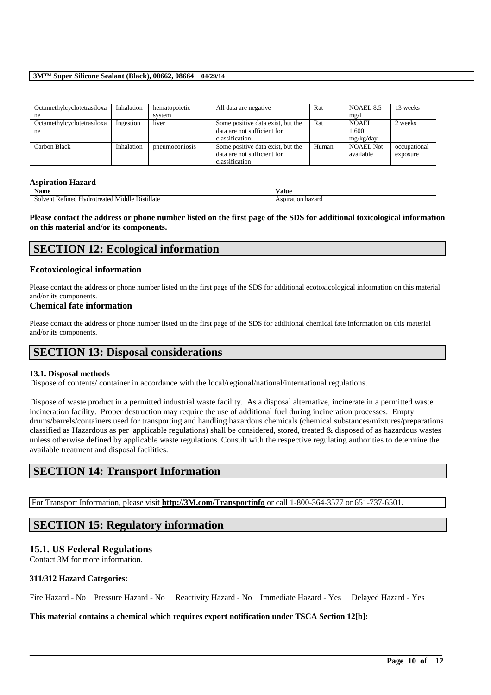| Octamethylcyclotetrasiloxa<br>ne | Inhalation | hematopoietic<br>system | All data are negative                                                              | Rat   | NOAEL 8.5<br>mg/1                  | 13 weeks                 |
|----------------------------------|------------|-------------------------|------------------------------------------------------------------------------------|-------|------------------------------------|--------------------------|
| Octamethylcyclotetrasiloxa<br>ne | Ingestion  | liver                   | Some positive data exist, but the<br>data are not sufficient for<br>classification | Rat   | <b>NOAEL</b><br>1.600<br>mg/kg/day | 2 weeks                  |
| Carbon Black                     | Inhalation | pneumoconiosis          | Some positive data exist, but the<br>data are not sufficient for<br>classification | Human | <b>NOAEL Not</b><br>available      | occupational<br>exposure |

### **Aspiration Hazard**

| Name<br>⁄ alue                                                                         |                       |
|----------------------------------------------------------------------------------------|-----------------------|
| <br>$-$<br>Distillate<br>Middle<br>™ent<br><b>Hydrotreated</b><br>nned<br>. Ret<br>50) | ı hazard<br>spiration |

**Please contact the address or phone number listed on the first page of the SDS for additional toxicological information on this material and/or its components.**

## **SECTION 12: Ecological information**

### **Ecotoxicological information**

Please contact the address or phone number listed on the first page of the SDS for additional ecotoxicological information on this material and/or its components.

### **Chemical fate information**

Please contact the address or phone number listed on the first page of the SDS for additional chemical fate information on this material and/or its components.

## **SECTION 13: Disposal considerations**

### **13.1. Disposal methods**

Dispose of contents/ container in accordance with the local/regional/national/international regulations.

Dispose of waste product in a permitted industrial waste facility. As a disposal alternative, incinerate in a permitted waste incineration facility. Proper destruction may require the use of additional fuel during incineration processes. Empty drums/barrels/containers used for transporting and handling hazardous chemicals (chemical substances/mixtures/preparations classified as Hazardous as per applicable regulations) shall be considered, stored, treated & disposed of as hazardous wastes unless otherwise defined by applicable waste regulations. Consult with the respective regulating authorities to determine the available treatment and disposal facilities.

## **SECTION 14: Transport Information**

For Transport Information, please visit **http://3M.com/Transportinfo** or call 1-800-364-3577 or 651-737-6501.

## **SECTION 15: Regulatory information**

### **15.1. US Federal Regulations**

Contact 3M for more information.

### **311/312 Hazard Categories:**

Fire Hazard - No Pressure Hazard - No Reactivity Hazard - No Immediate Hazard - Yes Delayed Hazard - Yes

\_\_\_\_\_\_\_\_\_\_\_\_\_\_\_\_\_\_\_\_\_\_\_\_\_\_\_\_\_\_\_\_\_\_\_\_\_\_\_\_\_\_\_\_\_\_\_\_\_\_\_\_\_\_\_\_\_\_\_\_\_\_\_\_\_\_\_\_\_\_\_\_\_\_\_\_\_\_\_\_\_\_\_\_\_\_\_\_\_\_

### **This material contains a chemical which requires export notification under TSCA Section 12[b]:**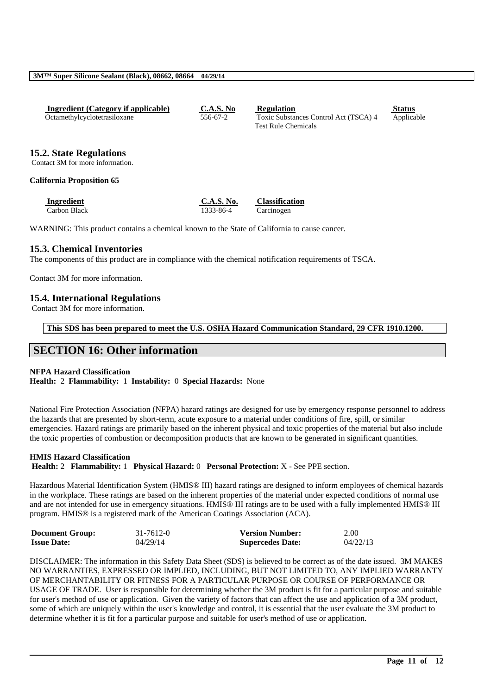| Ingredient (Category if applicable) | <b>C.A.S. No</b> | <b>Regulation</b>                     | <b>Status</b> |
|-------------------------------------|------------------|---------------------------------------|---------------|
| Octamethylcyclotetrasiloxane        | 556-67-2         | Toxic Substances Control Act (TSCA) 4 | Applicable    |
|                                     |                  | <b>Test Rule Chemicals</b>            |               |

### **15.2. State Regulations**

Contact 3M for more information.

### **California Proposition 65**

**Ingredient C.A.S. No. Classification** Carbon Black 1333-86-4 Carcinogen

WARNING: This product contains a chemical known to the State of California to cause cancer.

### **15.3. Chemical Inventories**

The components of this product are in compliance with the chemical notification requirements of TSCA.

Contact 3M for more information.

### **15.4. International Regulations**

Contact 3M for more information.

**This SDS has been prepared to meet the U.S. OSHA Hazard Communication Standard, 29 CFR 1910.1200.**

## **SECTION 16: Other information**

### **NFPA Hazard Classification**

**Health:** 2 **Flammability:** 1 **Instability:** 0 **Special Hazards:** None

National Fire Protection Association (NFPA) hazard ratings are designed for use by emergency response personnel to address the hazards that are presented by short-term, acute exposure to a material under conditions of fire, spill, or similar emergencies. Hazard ratings are primarily based on the inherent physical and toxic properties of the material but also include the toxic properties of combustion or decomposition products that are known to be generated in significant quantities.

### **HMIS Hazard Classification**

**Health:** 2 **Flammability:** 1 **Physical Hazard:** 0 **Personal Protection:** X - See PPE section.

Hazardous Material Identification System (HMIS® III) hazard ratings are designed to inform employees of chemical hazards in the workplace. These ratings are based on the inherent properties of the material under expected conditions of normal use and are not intended for use in emergency situations. HMIS® III ratings are to be used with a fully implemented HMIS® III program. HMIS® is a registered mark of the American Coatings Association (ACA).

| <b>Document Group:</b> | $31 - 7612 - 0$ | <b>Version Number:</b>  | 2.00     |
|------------------------|-----------------|-------------------------|----------|
| <b>Issue Date:</b>     | 04/29/14        | <b>Supercedes Date:</b> | 04/22/13 |

DISCLAIMER: The information in this Safety Data Sheet (SDS) is believed to be correct as of the date issued. 3M MAKES NO WARRANTIES, EXPRESSED OR IMPLIED, INCLUDING, BUT NOT LIMITED TO, ANY IMPLIED WARRANTY OF MERCHANTABILITY OR FITNESS FOR A PARTICULAR PURPOSE OR COURSE OF PERFORMANCE OR USAGE OF TRADE. User is responsible for determining whether the 3M product is fit for a particular purpose and suitable for user's method of use or application. Given the variety of factors that can affect the use and application of a 3M product, some of which are uniquely within the user's knowledge and control, it is essential that the user evaluate the 3M product to determine whether it is fit for a particular purpose and suitable for user's method of use or application.